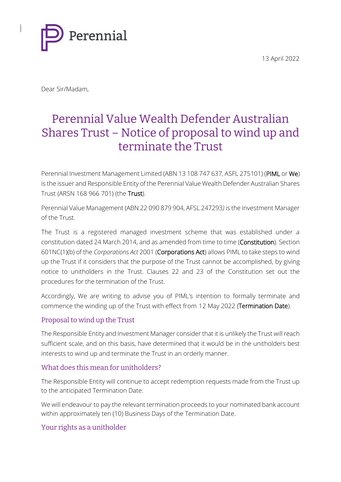13 April 2022



Dear Sir/Madam,

# Perennial Value Wealth Defender Australian Shares Trust – Notice of proposal to wind up and terminate the Trust

Perennial Investment Management Limited (ABN 13 108 747 637, ASFL 275101) (PIML or We) is the issuer and Responsible Entity of the Perennial Value Wealth Defender Australian Shares Trust (ARSN 168 966 701) (the Trust).

Perennial Value Management (ABN 22 090 879 904, AFSL 247293*)* is the Investment Manager of the Trust.

The Trust is a registered managed investment scheme that was established under a constitution dated 24 March 2014, and as amended from time to time (Constitution). Section 601NC(1)(b) of the *Corporations Act* 2001 (Corporations Act) allows PIML to take steps to wind up the Trust if it considers that the purpose of the Trust cannot be accomplished, by giving notice to unitholders in the Trust. Clauses 22 and 23 of the Constitution set out the procedures for the termination of the Trust.

Accordingly, We are writing to advise you of PIML's intention to formally terminate and commence the winding up of the Trust with effect from 12 May 2022 (Termination Date).

## Proposal to wind up the Trust

The Responsible Entity and Investment Manager consider that it is unlikely the Trust will reach sufficient scale, and on this basis, have determined that it would be in the unitholders best interests to wind up and terminate the Trust in an orderly manner.

## What does this mean for unitholders?

The Responsible Entity will continue to accept redemption requests made from the Trust up to the anticipated Termination Date.

We will endeavour to pay the relevant termination proceeds to your nominated bank account within approximately ten (10) Business Days of the Termination Date.

## Your rights as a unitholder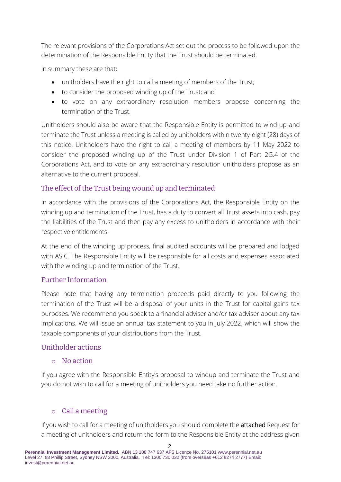The relevant provisions of the Corporations Act set out the process to be followed upon the determination of the Responsible Entity that the Trust should be terminated.

In summary these are that:

- unitholders have the right to call a meeting of members of the Trust;
- to consider the proposed winding up of the Trust; and
- to vote on any extraordinary resolution members propose concerning the termination of the Trust.

Unitholders should also be aware that the Responsible Entity is permitted to wind up and terminate the Trust unless a meeting is called by unitholders within twenty-eight (28) days of this notice. Unitholders have the right to call a meeting of members by 11 May 2022 to consider the proposed winding up of the Trust under Division 1 of Part 2G.4 of the Corporations Act, and to vote on any extraordinary resolution unitholders propose as an alternative to the current proposal.

## The effect of the Trust being wound up and terminated

In accordance with the provisions of the Corporations Act, the Responsible Entity on the winding up and termination of the Trust, has a duty to convert all Trust assets into cash, pay the liabilities of the Trust and then pay any excess to unitholders in accordance with their respective entitlements.

At the end of the winding up process, final audited accounts will be prepared and lodged with ASIC. The Responsible Entity will be responsible for all costs and expenses associated with the winding up and termination of the Trust.

## Further Information

Please note that having any termination proceeds paid directly to you following the termination of the Trust will be a disposal of your units in the Trust for capital gains tax purposes. We recommend you speak to a financial adviser and/or tax adviser about any tax implications. We will issue an annual tax statement to you in July 2022, which will show the taxable components of your distributions from the Trust.

#### Unitholder actions

#### o No action

If you agree with the Responsible Entity's proposal to windup and terminate the Trust and you do not wish to call for a meeting of unitholders you need take no further action.

## o Call a meeting

If you wish to call for a meeting of unitholders you should complete the attached Request for a meeting of unitholders and return the form to the Responsible Entity at the address given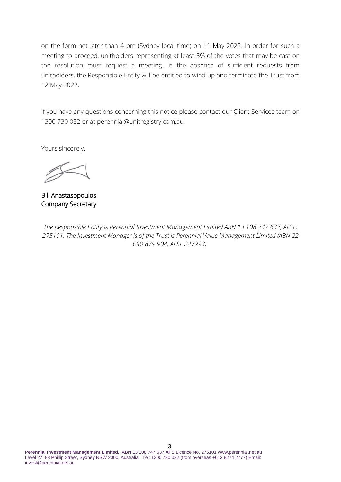on the form not later than 4 pm (Sydney local time) on 11 May 2022. In order for such a meeting to proceed, unitholders representing at least 5% of the votes that may be cast on the resolution must request a meeting. In the absence of sufficient requests from unitholders, the Responsible Entity will be entitled to wind up and terminate the Trust from 12 May 2022.

If you have any questions concerning this notice please contact our Client Services team on 1300 730 032 or at perennial@unitregistry.com.au.

Yours sincerely,

Bill Anastasopoulos Company Secretary

*The Responsible Entity is Perennial Investment Management Limited ABN 13 108 747 637, AFSL: 275101. The Investment Manager is of the Trust is Perennial Value Management Limited (ABN 22 090 879 904, AFSL 247293).*